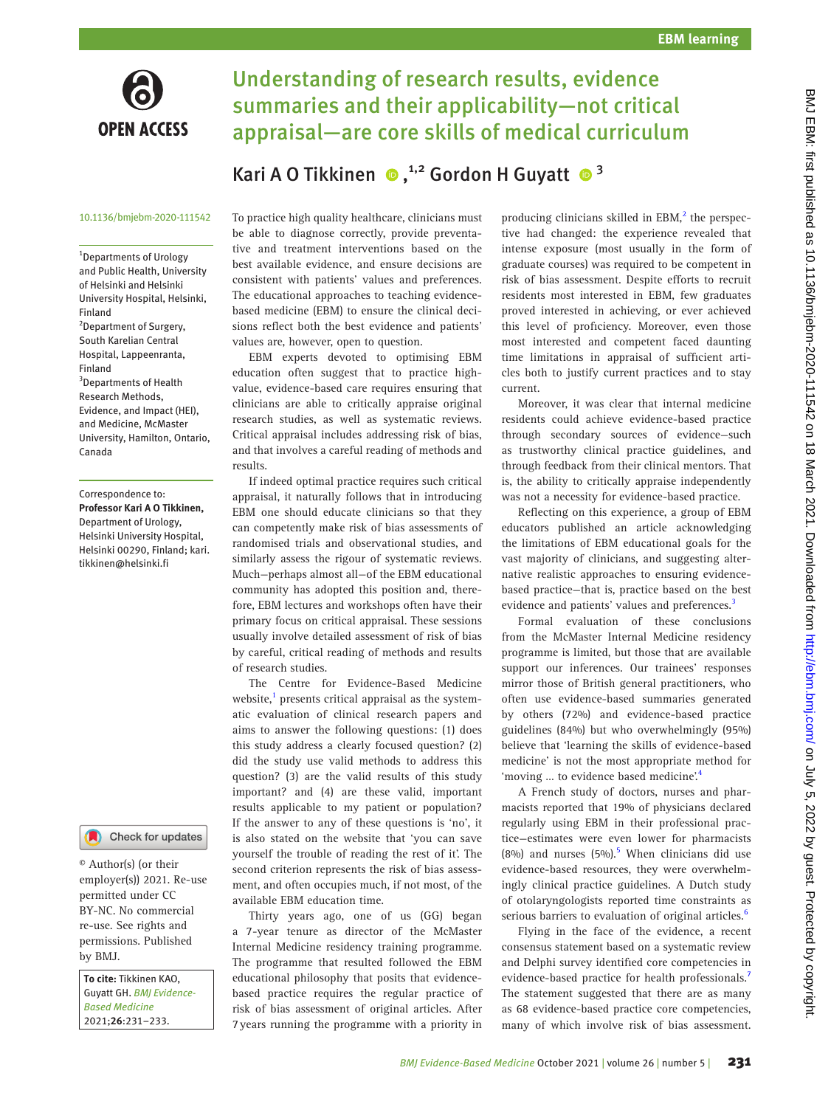

# Understanding of research results, evidence summaries and their applicability—not critical appraisal—are core skills of medical curriculum

## KariA O Tikkinen  $\bullet$ ,<sup>1,2</sup> Gordon H Guyatt  $\bullet$ <sup>3</sup>

#### 10.1136/bmjebm-2020-111542

1 Departments of Urology and Public Health, University of Helsinki and Helsinki University Hospital, Helsinki, Finland <sup>2</sup>Department of Surgery, South Karelian Central Hospital, Lappeenranta, Finland <sup>3</sup>Departments of Health Research Methods, Evidence, and Impact (HEI), and Medicine, McMaster University, Hamilton, Ontario, Canada

#### Correspondence to: *Professor Kari A O Tikkinen,* Department of Urology, Helsinki University Hospital, Helsinki 00290, Finland; kari. tikkinen@helsinki.fi



© Author(s) (or their employer(s)) 2021. Re-use permitted under CC BY-NC. No commercial re-use. See rights and permissions. Published by BMJ.

*To cite:* Tikkinen KAO, Guyatt GH. *BMJ Evidence-Based Medicine* 2021;*26*:231–233.

To practice high quality healthcare, clinicians must be able to diagnose correctly, provide preventative and treatment interventions based on the best available evidence, and ensure decisions are consistent with patients' values and preferences. The educational approaches to teaching evidencebased medicine (EBM) to ensure the clinical decisions reflect both the best evidence and patients' values are, however, open to question.

EBM experts devoted to optimising EBM education often suggest that to practice highvalue, evidence-based care requires ensuring that clinicians are able to critically appraise original research studies, as well as systematic reviews. Critical appraisal includes addressing risk of bias, and that involves a careful reading of methods and results.

If indeed optimal practice requires such critical appraisal, it naturally follows that in introducing EBM one should educate clinicians so that they can competently make risk of bias assessments of randomised trials and observational studies, and similarly assess the rigour of systematic reviews. Much—perhaps almost all—of the EBM educational community has adopted this position and, therefore, EBM lectures and workshops often have their primary focus on critical appraisal. These sessions usually involve detailed assessment of risk of bias by careful, critical reading of methods and results of research studies.

The Centre for Evidence-Based Medicine website,<sup>1</sup> presents critical appraisal as the systematic evaluation of clinical research papers and aims to answer the following questions: (1) does this study address a clearly focused question? (2) did the study use valid methods to address this question? (3) are the valid results of this study important? and (4) are these valid, important results applicable to my patient or population? If the answer to any of these questions is 'no', it is also stated on the website that 'you can save yourself the trouble of reading the rest of it'. The second criterion represents the risk of bias assessment, and often occupies much, if not most, of the available EBM education time.

Thirty years ago, one of us (GG) began a 7-year tenure as director of the McMaster Internal Medicine residency training programme. The programme that resulted followed the EBM educational philosophy that posits that evidencebased practice requires the regular practice of risk of bias assessment of original articles. After 7years running the programme with a priority in

producing clinicians skilled in EBM,<sup>2</sup> the perspective had changed: the experience revealed that intense exposure (most usually in the form of graduate courses) was required to be competent in risk of bias assessment. Despite efforts to recruit residents most interested in EBM, few graduates proved interested in achieving, or ever achieved this level of proficiency. Moreover, even those most interested and competent faced daunting time limitations in appraisal of sufficient articles both to justify current practices and to stay current.

Moreover, it was clear that internal medicine residents could achieve evidence-based practice through secondary sources of evidence—such as trustworthy clinical practice guidelines, and through feedback from their clinical mentors. That is, the ability to critically appraise independently was not a necessity for evidence-based practice.

Reflecting on this experience, a group of EBM educators published an article acknowledging the limitations of EBM educational goals for the vast majority of clinicians, and suggesting alternative realistic approaches to ensuring evidencebased practice—that is, practice based on the best evidence and patients' values and preferences.<sup>[3](#page-2-2)</sup>

Formal evaluation of these conclusions from the McMaster Internal Medicine residency programme is limited, but those that are available support our inferences. Our trainees' responses mirror those of British general practitioners, who often use evidence-based summaries generated by others (72%) and evidence-based practice guidelines (84%) but who overwhelmingly (95%) believe that 'learning the skills of evidence-based medicine' is not the most appropriate method for 'moving ... to evidence based medicine'.[4](#page-2-3)

A French study of doctors, nurses and pharmacists reported that 19% of physicians declared regularly using EBM in their professional practice—estimates were even lower for pharmacists (8%) and nurses  $(5\%)$  $(5\%)$  $(5\%)$ . When clinicians did use evidence-based resources, they were overwhelmingly clinical practice guidelines. A Dutch study of otolaryngologists reported time constraints as serious barriers to evaluation of original articles.<sup>6</sup>

Flying in the face of the evidence, a recent consensus statement based on a systematic review and Delphi survey identified core competencies in evidence-based practice for health professionals.<sup>[7](#page-2-6)</sup> The statement suggested that there are as many as 68 evidence-based practice core competencies, many of which involve risk of bias assessment.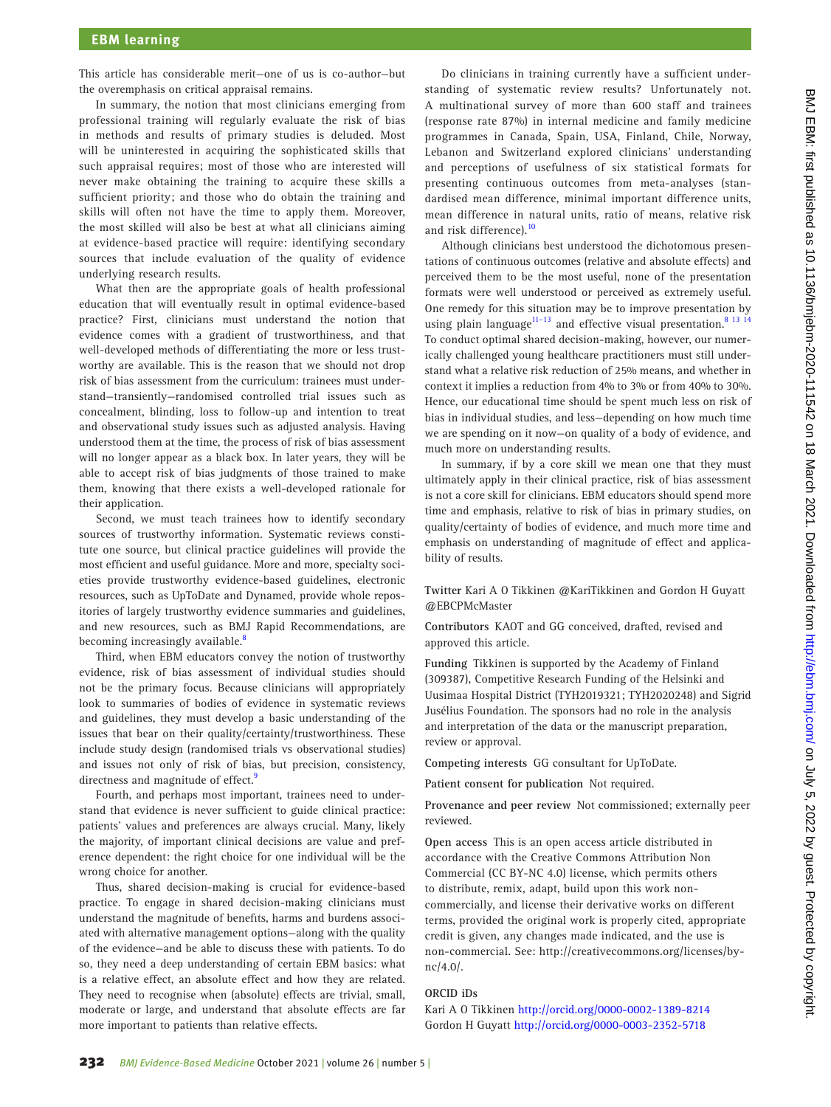This article has considerable merit—one of us is co-author—but the overemphasis on critical appraisal remains.

In summary, the notion that most clinicians emerging from professional training will regularly evaluate the risk of bias in methods and results of primary studies is deluded. Most will be uninterested in acquiring the sophisticated skills that such appraisal requires; most of those who are interested will never make obtaining the training to acquire these skills a sufficient priority; and those who do obtain the training and skills will often not have the time to apply them. Moreover, the most skilled will also be best at what all clinicians aiming at evidence-based practice will require: identifying secondary sources that include evaluation of the quality of evidence underlying research results.

What then are the appropriate goals of health professional education that will eventually result in optimal evidence-based practice? First, clinicians must understand the notion that evidence comes with a gradient of trustworthiness, and that well-developed methods of differentiating the more or less trustworthy are available. This is the reason that we should not drop risk of bias assessment from the curriculum: trainees must understand—transiently—randomised controlled trial issues such as concealment, blinding, loss to follow-up and intention to treat and observational study issues such as adjusted analysis. Having understood them at the time, the process of risk of bias assessment will no longer appear as a black box. In later years, they will be able to accept risk of bias judgments of those trained to make them, knowing that there exists a well-developed rationale for their application.

Second, we must teach trainees how to identify secondary sources of trustworthy information. Systematic reviews constitute one source, but clinical practice guidelines will provide the most efficient and useful guidance. More and more, specialty societies provide trustworthy evidence-based guidelines, electronic resources, such as UpToDate and Dynamed, provide whole repositories of largely trustworthy evidence summaries and guidelines, and new resources, such as BMJ Rapid Recommendations, are becoming increasingly available.<sup>[8](#page-2-7)</sup>

Third, when EBM educators convey the notion of trustworthy evidence, risk of bias assessment of individual studies should not be the primary focus. Because clinicians will appropriately look to summaries of bodies of evidence in systematic reviews and guidelines, they must develop a basic understanding of the issues that bear on their quality/certainty/trustworthiness. These include study design (randomised trials vs observational studies) and issues not only of risk of bias, but precision, consistency, directness and magnitude of effect.<sup>[9](#page-2-8)</sup>

Fourth, and perhaps most important, trainees need to understand that evidence is never sufficient to guide clinical practice: patients' values and preferences are always crucial. Many, likely the majority, of important clinical decisions are value and preference dependent: the right choice for one individual will be the wrong choice for another.

Thus, shared decision-making is crucial for evidence-based practice. To engage in shared decision-making clinicians must understand the magnitude of benefits, harms and burdens associated with alternative management options—along with the quality of the evidence—and be able to discuss these with patients. To do so, they need a deep understanding of certain EBM basics: what is a relative effect, an absolute effect and how they are related. They need to recognise when (absolute) effects are trivial, small, moderate or large, and understand that absolute effects are far more important to patients than relative effects.

Do clinicians in training currently have a sufficient understanding of systematic review results? Unfortunately not. A multinational survey of more than 600 staff and trainees (response rate 87%) in internal medicine and family medicine programmes in Canada, Spain, USA, Finland, Chile, Norway, Lebanon and Switzerland explored clinicians' understanding and perceptions of usefulness of six statistical formats for presenting continuous outcomes from meta-analyses (standardised mean difference, minimal important difference units, mean difference in natural units, ratio of means, relative risk and risk difference).<sup>[10](#page-2-9)</sup>

Although clinicians best understood the dichotomous presentations of continuous outcomes (relative and absolute effects) and perceived them to be the most useful, none of the presentation formats were well understood or perceived as extremely useful. One remedy for this situation may be to improve presentation by using plain language<sup>[11–13](#page-2-10)</sup> and effective visual presentation.<sup>8</sup> <sup>13</sup> <sup>14</sup> To conduct optimal shared decision-making, however, our numerically challenged young healthcare practitioners must still understand what a relative risk reduction of 25% means, and whether in context it implies a reduction from 4% to 3% or from 40% to 30%. Hence, our educational time should be spent much less on risk of bias in individual studies, and less—depending on how much time we are spending on it now—on quality of a body of evidence, and much more on understanding results.

In summary, if by a core skill we mean one that they must ultimately apply in their clinical practice, risk of bias assessment is not a core skill for clinicians. EBM educators should spend more time and emphasis, relative to risk of bias in primary studies, on quality/certainty of bodies of evidence, and much more time and emphasis on understanding of magnitude of effect and applicability of results.

**Twitter** Kari A O Tikkinen [@KariTikkinen](https://twitter.com/KariTikkinen) and Gordon H Guyatt [@EBCPMcMaster](https://twitter.com/EBCPMcMaster)

**Contributors** KAOT and GG conceived, drafted, revised and approved this article.

**Funding** Tikkinen is supported by the Academy of Finland (309387), Competitive Research Funding of the Helsinki and Uusimaa Hospital District (TYH2019321; TYH2020248) and Sigrid Jusélius Foundation. The sponsors had no role in the analysis and interpretation of the data or the manuscript preparation, review or approval.

**Competing interests** GG consultant for UpToDate.

**Patient consent for publication** Not required.

**Provenance and peer review** Not commissioned; externally peer reviewed.

**Open access** This is an open access article distributed in accordance with the Creative Commons Attribution Non Commercial (CC BY-NC 4.0) license, which permits others to distribute, remix, adapt, build upon this work noncommercially, and license their derivative works on different terms, provided the original work is properly cited, appropriate credit is given, any changes made indicated, and the use is non-commercial. See: [http://creativecommons.org/licenses/by](http://creativecommons.org/licenses/by-nc/4.0/)[nc/4.0/](http://creativecommons.org/licenses/by-nc/4.0/).

#### **ORCID iDs**

Kari A O Tikkinen<http://orcid.org/0000-0002-1389-8214> Gordon H Guyatt <http://orcid.org/0000-0003-2352-5718>